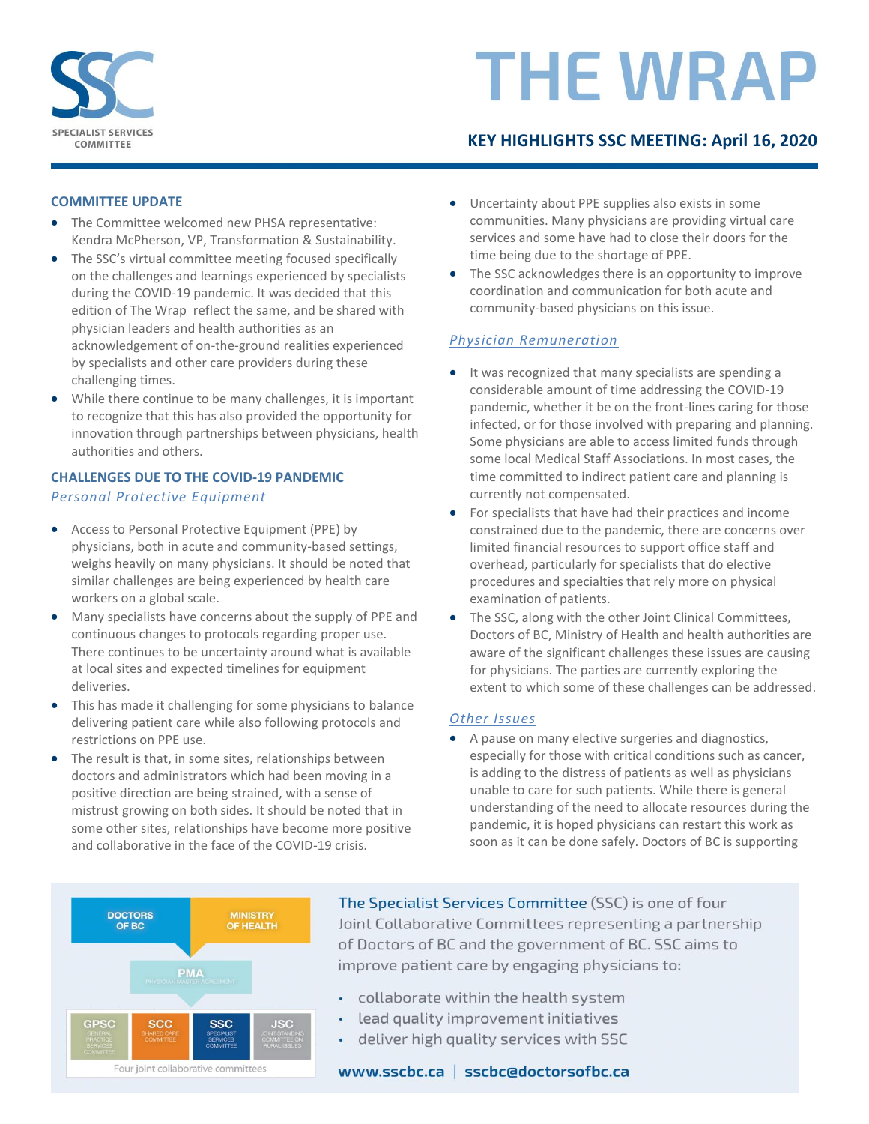

# **THE WRAP**

## **KEY HIGHLIGHTS SSC MEETING: April 16, 2020**

### **COMMITTEE UPDATE**

- The Committee welcomed new PHSA representative: Kendra McPherson, VP, Transformation & Sustainability.
- The SSC's virtual committee meeting focused specifically on the challenges and learnings experienced by specialists during the COVID-19 pandemic. It was decided that this edition of The Wrap reflect the same, and be shared with physician leaders and health authorities as an acknowledgement of on-the-ground realities experienced by specialists and other care providers during these challenging times.
- While there continue to be many challenges, it is important to recognize that this has also provided the opportunity for innovation through partnerships between physicians, health authorities and others.

### **CHALLENGES DUE TO THE COVID-19 PANDEMIC** *Personal Protective Equipment*

- Access to Personal Protective Equipment (PPE) by physicians, both in acute and community-based settings, weighs heavily on many physicians. It should be noted that similar challenges are being experienced by health care workers on a global scale.
- Many specialists have concerns about the supply of PPE and continuous changes to protocols regarding proper use. There continues to be uncertainty around what is available at local sites and expected timelines for equipment deliveries.
- This has made it challenging for some physicians to balance delivering patient care while also following protocols and restrictions on PPE use.
- The result is that, in some sites, relationships between doctors and administrators which had been moving in a positive direction are being strained, with a sense of mistrust growing on both sides. It should be noted that in some other sites, relationships have become more positive and collaborative in the face of the COVID-19 crisis.
- Uncertainty about PPE supplies also exists in some communities. Many physicians are providing virtual care services and some have had to close their doors for the time being due to the shortage of PPE.
- The SSC acknowledges there is an opportunity to improve coordination and communication for both acute and community-based physicians on this issue.

### *Physician Remuneration*

- It was recognized that many specialists are spending a considerable amount of time addressing the COVID-19 pandemic, whether it be on the front-lines caring for those infected, or for those involved with preparing and planning. Some physicians are able to access limited funds through some local Medical Staff Associations. In most cases, the time committed to indirect patient care and planning is currently not compensated.
- For specialists that have had their practices and income constrained due to the pandemic, there are concerns over limited financial resources to support office staff and overhead, particularly for specialists that do elective procedures and specialties that rely more on physical examination of patients.
- The SSC, along with the other Joint Clinical Committees, Doctors of BC, Ministry of Health and health authorities are aware of the significant challenges these issues are causing for physicians. The parties are currently exploring the extent to which some of these challenges can be addressed.

### *Other Issues*

 A pause on many elective surgeries and diagnostics, especially for those with critical conditions such as cancer, is adding to the distress of patients as well as physicians unable to care for such patients. While there is general understanding of the need to allocate resources during the pandemic, it is hoped physicians can restart this work as soon as it can be done safely. Doctors of BC is supporting



The Specialist Services Committee (SSC) is one of four Joint Collaborative Committees representing a partnership of Doctors of BC and the government of BC. SSC aims to improve patient care by engaging physicians to:

- ¥. collaborate within the health system
- lead quality improvement initiatives
- deliver high quality services with SSC ò,

www.sscbc.ca | sscbc@doctorsofbc.ca